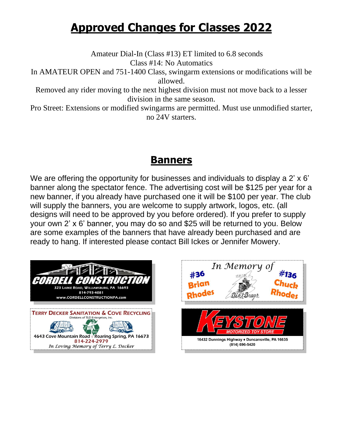## **Approved Changes for Classes 2022**

Amateur Dial-In (Class #13) ET limited to 6.8 seconds Class #14: No Automatics

In AMATEUR OPEN and 751-1400 Class, swingarm extensions or modifications will be allowed.

Removed any rider moving to the next highest division must not move back to a lesser division in the same season.

Pro Street: Extensions or modified swingarms are permitted. Must use unmodified starter, no 24V starters.

## **Banners**

We are offering the opportunity for businesses and individuals to display a 2' x 6' banner along the spectator fence. The advertising cost will be \$125 per year for a new banner, if you already have purchased one it will be \$100 per year. The club will supply the banners, you are welcome to supply artwork, logos, etc. (all designs will need to be approved by you before ordered). If you prefer to supply your own 2' x 6' banner, you may do so and \$25 will be returned to you. Below are some examples of the banners that have already been purchased and are ready to hang. If interested please contact Bill Ickes or Jennifer Mowery.